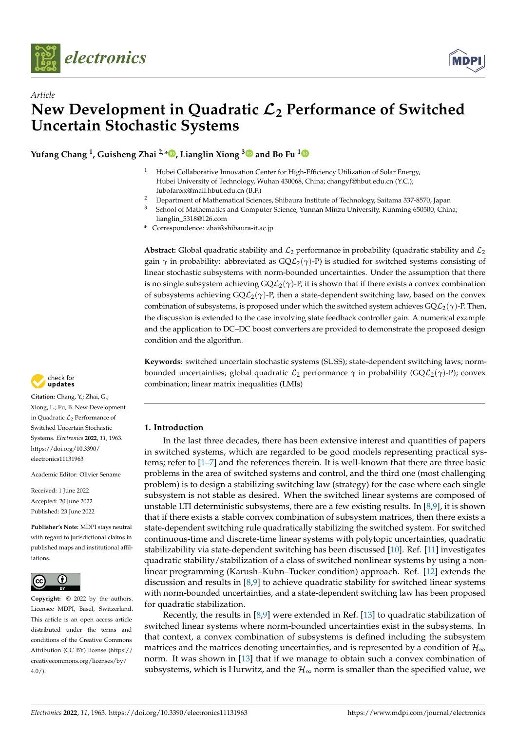

*Article*



# **New Development in Quadratic** L**<sup>2</sup> Performance of Switched Uncertain Stochastic Systems**

**Yufang Chang <sup>1</sup> , Guisheng Zhai 2,\* [,](https://orcid.org/0000-0001-5073-9485) Lianglin Xiong [3](https://orcid.org/0000-0002-5802-0974) and Bo Fu [1](https://orcid.org/0000-0002-9491-756X)**

- <sup>1</sup> Hubei Collaborative Innovation Center for High-Efficiency Utilization of Solar Energy, Hubei University of Technology, Wuhan 430068, China; changyf@hbut.edu.cn (Y.C.); fubofanxx@mail.hbut.edu.cn (B.F.)
- <sup>2</sup> Department of Mathematical Sciences, Shibaura Institute of Technology, Saitama 337-8570, Japan<br><sup>3</sup> School of Mathematica and Computer Science, Numera Miner University Kunning (50500 Chin
- <sup>3</sup> School of Mathematics and Computer Science, Yunnan Minzu University, Kunming 650500, China; lianglin\_5318@126.com
- **\*** Correspondence: zhai@shibaura-it.ac.jp

**Abstract:** Global quadratic stability and  $\mathcal{L}_2$  performance in probability (quadratic stability and  $\mathcal{L}_2$ gain  $\gamma$  in probability: abbreviated as  $GQ\mathcal{L}_2(\gamma)$ -P) is studied for switched systems consisting of linear stochastic subsystems with norm-bounded uncertainties. Under the assumption that there is no single subsystem achieving  $\frac{GQ\mathcal{L}_2(\gamma)}{P}$ , it is shown that if there exists a convex combination of subsystems achieving GQL2(*γ*)-P, then a state-dependent switching law, based on the convex combination of subsystems, is proposed under which the switched system achieves  $\mathsf{GQL}_2(\gamma)$ -P. Then, the discussion is extended to the case involving state feedback controller gain. A numerical example and the application to DC–DC boost converters are provided to demonstrate the proposed design condition and the algorithm.

**Keywords:** switched uncertain stochastic systems (SUSS); state-dependent switching laws; normbounded uncertainties; global quadratic  $\mathcal{L}_2$  performance  $\gamma$  in probability (GQ $\mathcal{L}_2(\gamma)$ -P); convex combination; linear matrix inequalities (LMIs)

# **1. Introduction**

In the last three decades, there has been extensive interest and quantities of papers in switched systems, which are regarded to be good models representing practical systems; refer to [\[1](#page-13-0)[–7\]](#page-14-0) and the references therein. It is well-known that there are three basic problems in the area of switched systems and control, and the third one (most challenging problem) is to design a stabilizing switching law (strategy) for the case where each single subsystem is not stable as desired. When the switched linear systems are composed of unstable LTI deterministic subsystems, there are a few existing results. In  $[8,9]$  $[8,9]$ , it is shown that if there exists a stable convex combination of subsystem matrices, then there exists a state-dependent switching rule quadratically stabilizing the switched system. For switched continuous-time and discrete-time linear systems with polytopic uncertainties, quadratic stabilizability via state-dependent switching has been discussed [\[10\]](#page-14-3). Ref. [\[11\]](#page-14-4) investigates quadratic stability/stabilization of a class of switched nonlinear systems by using a nonlinear programming (Karush–Kuhn–Tucker condition) approach. Ref. [\[12\]](#page-14-5) extends the discussion and results in [\[8](#page-14-1)[,9\]](#page-14-2) to achieve quadratic stability for switched linear systems with norm-bounded uncertainties, and a state-dependent switching law has been proposed for quadratic stabilization.

Recently, the results in  $[8,9]$  $[8,9]$  were extended in Ref. [\[13\]](#page-14-6) to quadratic stabilization of switched linear systems where norm-bounded uncertainties exist in the subsystems. In that context, a convex combination of subsystems is defined including the subsystem matrices and the matrices denoting uncertainties, and is represented by a condition of  $\mathcal{H}_{\infty}$ norm. It was shown in [\[13\]](#page-14-6) that if we manage to obtain such a convex combination of subsystems, which is Hurwitz, and the  $\mathcal{H}_{\infty}$  norm is smaller than the specified value, we



**Citation:** Chang, Y.; Zhai, G.; Xiong, L.; Fu, B. New Development in Quadratic  $\mathcal{L}_2$  Performance of Switched Uncertain Stochastic Systems. *Electronics* **2022**, *11*, 1963. [https://doi.org/10.3390/](https://doi.org/10.3390/electronics11131963) [electronics11131963](https://doi.org/10.3390/electronics11131963)

Academic Editor: Olivier Sename

Received: 1 June 2022 Accepted: 20 June 2022 Published: 23 June 2022

**Publisher's Note:** MDPI stays neutral with regard to jurisdictional claims in published maps and institutional affiliations.



**Copyright:** © 2022 by the authors. Licensee MDPI, Basel, Switzerland. This article is an open access article distributed under the terms and conditions of the Creative Commons Attribution (CC BY) license [\(https://](https://creativecommons.org/licenses/by/4.0/) [creativecommons.org/licenses/by/](https://creativecommons.org/licenses/by/4.0/)  $4.0/$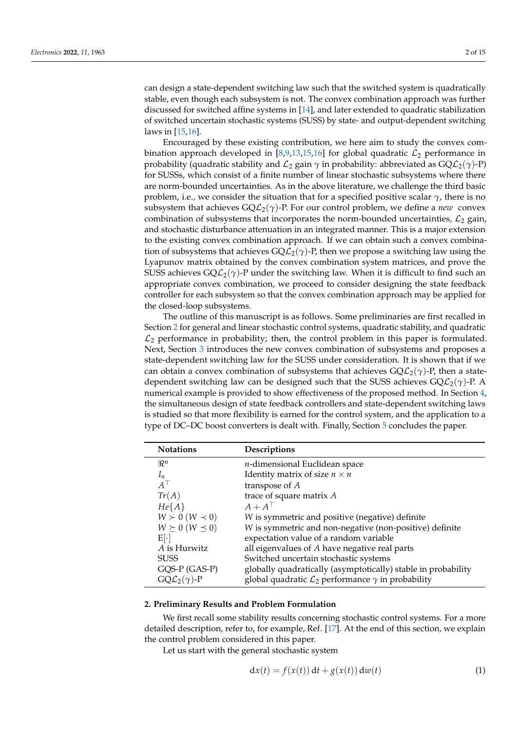can design a state-dependent switching law such that the switched system is quadratically stable, even though each subsystem is not. The convex combination approach was further discussed for switched affine systems in [\[14\]](#page-14-7), and later extended to quadratic stabilization of switched uncertain stochastic systems (SUSS) by state- and output-dependent switching laws in [\[15](#page-14-8)[,16\]](#page-14-9).

Encouraged by these existing contribution, we here aim to study the convex com-bination approach developed in [\[8,](#page-14-1)[9,](#page-14-2)[13,](#page-14-6)[15,](#page-14-8)[16\]](#page-14-9) for global quadratic  $\mathcal{L}_2$  performance in probability (quadratic stability and  $\mathcal{L}_2$  gain  $\gamma$  in probability: abbreviated as  $GQ\mathcal{L}_2(\gamma)$ -P) for SUSSs, which consist of a finite number of linear stochastic subsystems where there are norm-bounded uncertainties. As in the above literature, we challenge the third basic problem, i.e., we consider the situation that for a specified positive scalar *γ*, there is no subsystem that achieves  $\overline{GQL_2(\gamma)}$ -P. For our control problem, we define a *new* convex combination of subsystems that incorporates the norm-bounded uncertainties,  $\mathcal{L}_2$  gain, and stochastic disturbance attenuation in an integrated manner. This is a major extension to the existing convex combination approach. If we can obtain such a convex combination of subsystems that achieves  $\overline{GQL_2(\gamma)}$ -P, then we propose a switching law using the Lyapunov matrix obtained by the convex combination system matrices, and prove the SUSS achieves  $GQ\mathcal{L}_2(\gamma)$ -P under the switching law. When it is difficult to find such an appropriate convex combination, we proceed to consider designing the state feedback controller for each subsystem so that the convex combination approach may be applied for the closed-loop subsystems.

The outline of this manuscript is as follows. Some preliminaries are first recalled in Section [2](#page-1-0) for general and linear stochastic control systems, quadratic stability, and quadratic  $\mathcal{L}_2$  performance in probability; then, the control problem in this paper is formulated. Next, Section [3](#page-4-0) introduces the new convex combination of subsystems and proposes a state-dependent switching law for the SUSS under consideration. It is shown that if we can obtain a convex combination of subsystems that achieves  $\mathsf{GQL}_2(\gamma)$ -P, then a statedependent switching law can be designed such that the SUSS achieves  $\mathsf{GQ}^2(\gamma)$ -P. A numerical example is provided to show effectiveness of the proposed method. In Section [4,](#page-9-0) the simultaneous design of state feedback controllers and state-dependent switching laws is studied so that more flexibility is earned for the control system, and the application to a type of DC–DC boost converters is dealt with. Finally, Section [5](#page-13-1) concludes the paper.

| <b>Notations</b>              | Descriptions                                                         |
|-------------------------------|----------------------------------------------------------------------|
| $\mathbb{R}^n$                | $n$ -dimensional Euclidean space                                     |
| $I_n$                         | Identity matrix of size $n \times n$                                 |
| $A^{\perp}$                   | transpose of A                                                       |
| Tr(A)                         | trace of square matrix A                                             |
| $He{A}$                       | $A+A^{\top}$                                                         |
| $W \succ 0$ $(W \prec 0)$     | W is symmetric and positive (negative) definite                      |
| $W \succeq 0$ $(W \preceq 0)$ | W is symmetric and non-negative (non-positive) definite              |
| $E[\cdot]$                    | expectation value of a random variable                               |
| A is Hurwitz                  | all eigenvalues of A have negative real parts                        |
| <b>SUSS</b>                   | Switched uncertain stochastic systems                                |
| GQS-P (GAS-P)                 | globally quadratically (asymptotically) stable in probability        |
| $GQL_2(\gamma)$ -P            | global quadratic $\mathcal{L}_2$ performance $\gamma$ in probability |

#### <span id="page-1-0"></span>**2. Preliminary Results and Problem Formulation**

We first recall some stability results concerning stochastic control systems. For a more detailed description, refer to, for example, Ref. [\[17\]](#page-14-10). At the end of this section, we explain the control problem considered in this paper.

Let us start with the general stochastic system

<span id="page-1-1"></span>
$$
dx(t) = f(x(t)) dt + g(x(t)) dw(t)
$$
\n(1)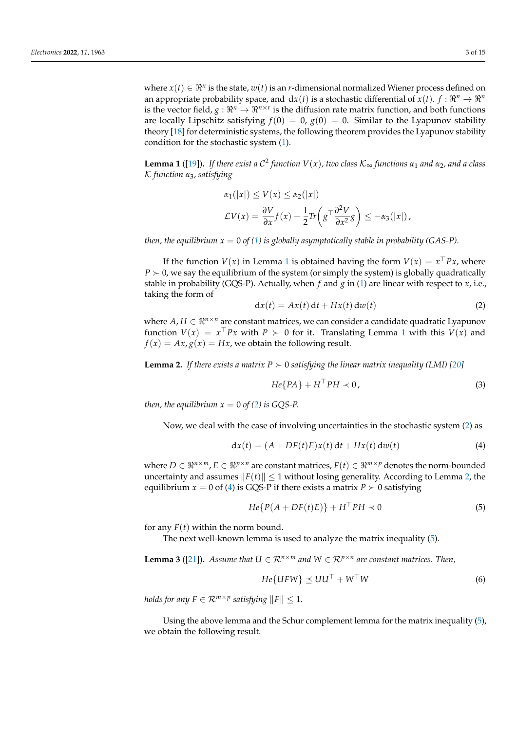where  $x(t) \in \Re^n$  is the state,  $w(t)$  is an *r*-dimensional normalized Wiener process defined on an appropriate probability space, and  $dx(t)$  is a stochastic differential of  $x(t)$ .  $f: \mathbb{R}^n \to \mathbb{R}^n$ is the vector field,  $g: \Re^n \to \Re^{n \times r}$  is the diffusion rate matrix function, and both functions are locally Lipschitz satisfying  $f(0) = 0$ ,  $g(0) = 0$ . Similar to the Lyapunov stability theory [\[18\]](#page-14-11) for deterministic systems, the following theorem provides the Lyapunov stability condition for the stochastic system [\(1\)](#page-1-1).

<span id="page-2-0"></span>**Lemma 1** ([\[19\]](#page-14-12)). *If there exist a C<sup>2</sup> function V(x), two class*  $\mathcal{K}_{\infty}$  *functions*  $\alpha_1$  *and*  $\alpha_2$ *, and a class* K *function α*3*, satisfying*

<span id="page-2-1"></span>
$$
\alpha_1(|x|) \le V(x) \le \alpha_2(|x|)
$$
  

$$
\mathcal{L}V(x) = \frac{\partial V}{\partial x}f(x) + \frac{1}{2}Tr\left(g^{-1}\frac{\partial^2 V}{\partial x^2}g\right) \le -\alpha_3(|x|),
$$

*then, the equilibrium*  $x = 0$  *of [\(1\)](#page-1-1) is globally asymptotically stable in probability (GAS-P).* 

If the function  $V(x)$  in Lemma [1](#page-2-0) is obtained having the form  $V(x) = x^{\top} P x$ , where  $P \succ 0$ , we say the equilibrium of the system (or simply the system) is globally quadratically stable in probability (GQS-P). Actually, when *f* and *g* in [\(1\)](#page-1-1) are linear with respect to *x*, i.e., taking the form of

$$
dx(t) = Ax(t) dt + Hx(t) dw(t)
$$
 (2)

where  $A, H \in \mathbb{R}^{n \times n}$  are constant matrices, we can consider a candidate quadratic Lyapunov function  $V(x) = x^{\top} P x$  with  $P \succ 0$  for it. Translating Lemma [1](#page-2-0) with this  $V(x)$  and  $f(x) = Ax$ ,  $g(x) = Hx$ , we obtain the following result.

<span id="page-2-2"></span>**Lemma 2.** If there exists a matrix  $P \succ 0$  satisfying the linear matrix inequality (LMI) [\[20\]](#page-14-13)

$$
He\{PA\} + H^{\top}PH \prec 0,
$$
\n(3)

*then, the equilibrium*  $x = 0$  *of* [\(2\)](#page-2-1) *is GQS-P.* 

Now, we deal with the case of involving uncertainties in the stochastic system [\(2\)](#page-2-1) as

<span id="page-2-3"></span>
$$
dx(t) = (A + DF(t)E)x(t) dt + Hx(t) dw(t)
$$
\n(4)

where  $D \in \mathbb{R}^{n \times m}$ ,  $E \in \mathbb{R}^{p \times n}$  are constant matrices,  $F(t) \in \mathbb{R}^{m \times p}$  denotes the norm-bounded uncertainty and assumes  $||F(t)|| \le 1$  without losing generality. According to Lemma [2,](#page-2-2) the equilibrium  $x = 0$  of [\(4\)](#page-2-3) is GQS-P if there exists a matrix  $P \succ 0$  satisfying

<span id="page-2-4"></span>
$$
He\{P(A+DF(t)E)\} + H^{\top}PH \prec 0
$$
\n<sup>(5)</sup>

for any  $F(t)$  within the norm bound.

The next well-known lemma is used to analyze the matrix inequality [\(5\)](#page-2-4).

**Lemma 3** ([\[21\]](#page-14-14)). *Assume that*  $U \in \mathbb{R}^{n \times m}$  and  $W \in \mathbb{R}^{p \times n}$  are constant matrices. Then,

<span id="page-2-5"></span>
$$
He\{UFW\} \preceq UU^{\top} + W^{\top}W \tag{6}
$$

*holds for any*  $F \in \mathcal{R}^{m \times p}$  satisfying  $||F|| \leq 1$ .

Using the above lemma and the Schur complement lemma for the matrix inequality [\(5\)](#page-2-4), we obtain the following result.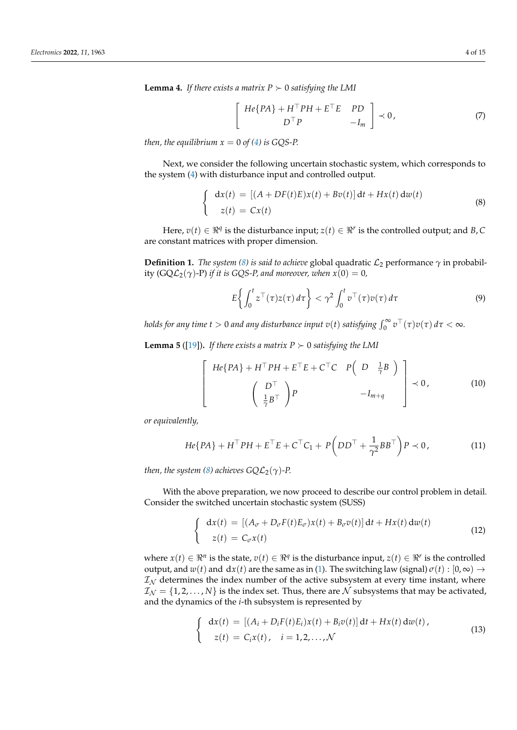**Lemma 4.** *If there exists a matrix*  $P \succ 0$  *satisfying the LMI* 

$$
\begin{bmatrix}\nHe\{PA\} + H^{\top}PH + E^{\top}E & PD \\
D^{\top}P & -I_m\n\end{bmatrix} \prec 0,
$$
\n(7)

*then, the equilibrium*  $x = 0$  *of [\(4\)](#page-2-3) is GQS-P.* 

Next, we consider the following uncertain stochastic system, which corresponds to the system [\(4\)](#page-2-3) with disturbance input and controlled output.

<span id="page-3-0"></span>
$$
\begin{cases}\n\operatorname{d}x(t) = \left[ (A + DF(t)E)x(t) + Bv(t) \right] \operatorname{d}t + Hx(t) \operatorname{d}w(t) \\
z(t) = Cx(t)\n\end{cases}
$$
\n(8)

Here,  $v(t) \in \Re^q$  is the disturbance input;  $z(t) \in \Re^r$  is the controlled output; and *B*, *C* are constant matrices with proper dimension.

**Definition 1.** *The system* [\(8\)](#page-3-0) *is said to achieve* global quadratic  $\mathcal{L}_2$  performance  $\gamma$  in probability (GQ $\mathcal{L}_2(\gamma)$ -P) *if it is GQS-P, and moreover, when*  $x(0) = 0$ *,* 

<span id="page-3-4"></span>
$$
E\left\{\int_0^t z^\top(\tau)z(\tau)\,d\tau\right\} < \gamma^2 \int_0^t v^\top(\tau)v(\tau)\,d\tau\tag{9}
$$

*holds for any time t*  $>0$  *and any disturbance input*  $v(t)$  *satisfying*  $\int_0^\infty v^\top(\tau) v(\tau)\,d\tau < \infty$ *.* 

<span id="page-3-3"></span>**Lemma 5** ([\[19\]](#page-14-12)). If there exists a matrix  $P \succ 0$  satisfying the LMI

$$
\begin{bmatrix}\nHe\{PA\} + H^\top PH + E^\top E + C^\top C & P\left(D - \frac{1}{\gamma}B\right) \\
\left(\begin{array}{c} D^\top \\
\frac{1}{\gamma}B^\top\end{array}\right)P & -I_{m+q}\n\end{bmatrix} \prec 0,
$$
\n(10)

*or equivalently,*

$$
He\{PA\} + H^\top PH + E^\top E + C^\top C_1 + P\left(DD^\top + \frac{1}{\gamma^2} BB^\top\right)P \prec 0,\tag{11}
$$

*then, the system [\(8\)](#page-3-0)* achieves  $GQ\mathcal{L}_2(\gamma)$ -P.

With the above preparation, we now proceed to describe our control problem in detail. Consider the switched uncertain stochastic system (SUSS)

<span id="page-3-1"></span>
$$
\begin{cases}\n\mathbf{d}x(t) = \left[ (A_{\sigma} + D_{\sigma}F(t)E_{\sigma})x(t) + B_{\sigma}v(t) \right] \mathbf{d}t + Hx(t) \mathbf{d}w(t) \\
z(t) = C_{\sigma}x(t)\n\end{cases}
$$
\n(12)

where  $x(t) \in \Re^n$  is the state,  $v(t) \in \Re^q$  is the disturbance input,  $z(t) \in \Re^n$  is the controlled output, and  $w(t)$  and  $dx(t)$  are the same as in [\(1\)](#page-1-1). The switching law (signal)  $\sigma(t) : [0, \infty) \rightarrow$  $\mathcal{I}_{N}$  determines the index number of the active subsystem at every time instant, where  $\mathcal{I}_{\mathcal{N}} = \{1, 2, \dots, N\}$  is the index set. Thus, there are N subsystems that may be activated, and the dynamics of the *i*-th subsystem is represented by

<span id="page-3-2"></span>
$$
\begin{cases}\n\mathrm{d}x(t) = \left[ (A_i + D_i F(t) E_i) x(t) + B_i v(t) \right] \mathrm{d}t + Hx(t) \, \mathrm{d}w(t), \\
z(t) = C_i x(t), \quad i = 1, 2, \dots, \mathcal{N}\n\end{cases}
$$
\n(13)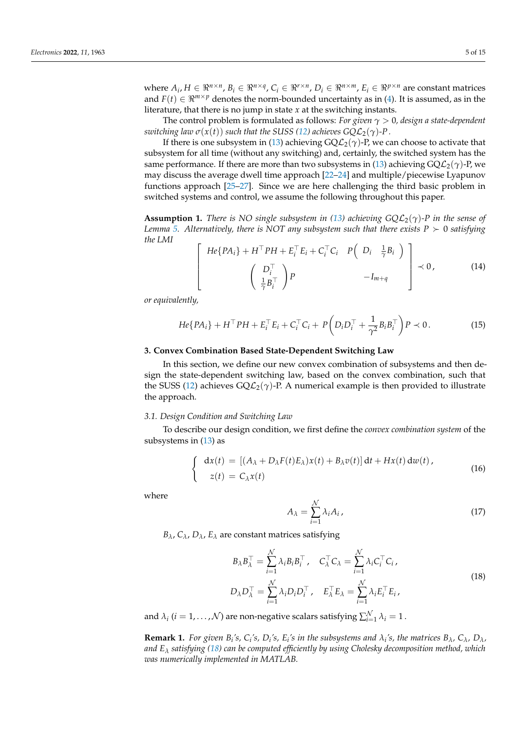where  $A_i$ ,  $H \in \mathbb{R}^{n \times n}$ ,  $B_i \in \mathbb{R}^{n \times q}$ ,  $C_i \in \mathbb{R}^{r \times n}$ ,  $D_i \in \mathbb{R}^{n \times m}$ ,  $E_i \in \mathbb{R}^{p \times n}$  are constant matrices and  $F(t) \in \mathbb{R}^{m \times p}$  denotes the norm-bounded uncertainty as in [\(4\)](#page-2-3). It is assumed, as in the literature, that there is no jump in state *x* at the switching instants.

The control problem is formulated as follows: *For given γ* > 0*, design a state-dependent switching law*  $\sigma(x(t))$  *such that the SUSS [\(12\)](#page-3-1) achieves*  $GQL_2(\gamma)$ *-P.* 

If there is one subsystem in [\(13\)](#page-3-2) achieving  $\overline{GQL_2(\gamma)}$ -P, we can choose to activate that subsystem for all time (without any switching) and, certainly, the switched system has the same performance. If there are more than two subsystems in [\(13\)](#page-3-2) achieving  $\text{GQL}_2(\gamma)$ -P, we may discuss the average dwell time approach [\[22](#page-14-15)[–24\]](#page-14-16) and multiple/piecewise Lyapunov functions approach [\[25](#page-14-17)[–27\]](#page-14-18). Since we are here challenging the third basic problem in switched systems and control, we assume the following throughout this paper.

<span id="page-4-2"></span>**Assumption 1.** *There is NO single subsystem in* [\(13\)](#page-3-2) *achieving GQL*<sub>2</sub>( $\gamma$ )-P *in the sense of Lemma* [5.](#page-3-3) Alternatively, there is NOT any subsystem such that there exists  $P \succ 0$  satisfying *the LMI*

<span id="page-4-6"></span>
$$
\begin{bmatrix}\nHe\{PA_i\} + H^\top PH + E_i^\top E_i + C_i^\top C_i & P\left(D_i \frac{1}{\gamma}B_i\right) \\
\left(\begin{array}{c} D_i^\top \\
\frac{1}{\gamma}B_i^\top\end{array}\right)P & -I_{m+q}\n\end{bmatrix} \prec 0,
$$
\n(14)

*or equivalently,*

<span id="page-4-4"></span>
$$
He\{PA_i\} + H^{\top}PH + E_i^{\top}E_i + C_i^{\top}C_i + P\left(D_iD_i^{\top} + \frac{1}{\gamma^2}B_iB_i^{\top}\right)P \prec 0. \tag{15}
$$

## <span id="page-4-0"></span>**3. Convex Combination Based State-Dependent Switching Law**

In this section, we define our new convex combination of subsystems and then design the state-dependent switching law, based on the convex combination, such that the SUSS [\(12\)](#page-3-1) achieves  $GQ\mathcal{L}_2(\gamma)$ -P. A numerical example is then provided to illustrate the approach.

#### *3.1. Design Condition and Switching Law*

To describe our design condition, we first define the *convex combination system* of the subsystems in [\(13\)](#page-3-2) as

<span id="page-4-3"></span>
$$
\begin{cases}\n\mathbf{d}x(t) = \left[ (A_{\lambda} + D_{\lambda}F(t)E_{\lambda})x(t) + B_{\lambda}v(t) \right] \mathbf{d}t + Hx(t) \mathbf{d}w(t), \\
z(t) = C_{\lambda}x(t)\n\end{cases}
$$
\n(16)

where

<span id="page-4-5"></span>
$$
A_{\lambda} = \sum_{i=1}^{N} \lambda_i A_i, \qquad (17)
$$

*B*<sub> $λ$ </sub>, *C*<sub> $λ$ </sub>, *D*<sub> $λ$ </sub>, *E*<sub> $λ$ </sub> are constant matrices satisfying

<span id="page-4-1"></span>
$$
B_{\lambda}B_{\lambda}^{\top} = \sum_{i=1}^{N} \lambda_i B_i B_i^{\top}, \quad C_{\lambda}^{\top} C_{\lambda} = \sum_{i=1}^{N} \lambda_i C_i^{\top} C_i,
$$
  

$$
D_{\lambda}D_{\lambda}^{\top} = \sum_{i=1}^{N} \lambda_i D_i D_i^{\top}, \quad E_{\lambda}^{\top} E_{\lambda} = \sum_{i=1}^{N} \lambda_i E_i^{\top} E_i,
$$
 (18)

and  $\lambda_i$   $(i = 1, \ldots, \mathcal{N})$  are non-negative scalars satisfying  $\sum_{i=1}^{\mathcal{N}} \lambda_i = 1$  .

**Remark 1.** For given  $B_i$ 's,  $C_i$ 's,  $D_i$ 's,  $E_i$ 's in the subsystems and  $\lambda_i$ 's, the matrices  $B_\lambda$ ,  $C_\lambda$ ,  $D_\lambda$ , *and E<sup>λ</sup> satisfying [\(18\)](#page-4-1) can be computed efficiently by using Cholesky decomposition method, which was numerically implemented in MATLAB.*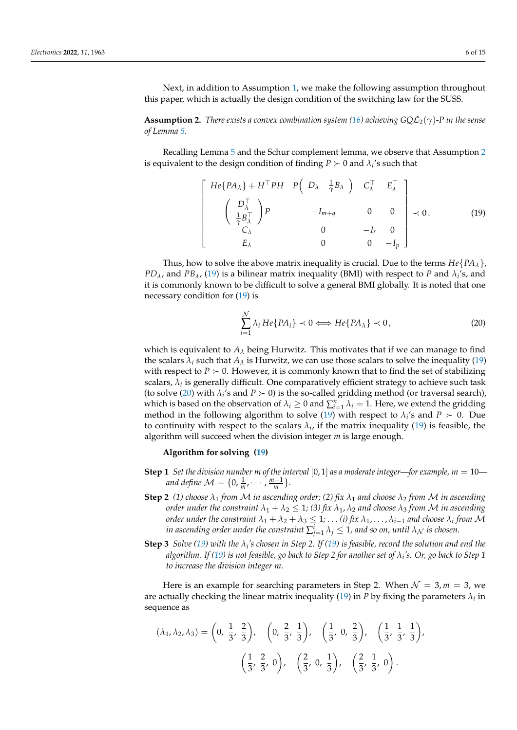Next, in addition to Assumption [1,](#page-4-2) we make the following assumption throughout this paper, which is actually the design condition of the switching law for the SUSS.

<span id="page-5-0"></span>**Assumption 2.** *There exists a convex combination system [\(16\)](#page-4-3) achieving*  $GOL_2(\gamma)$ *-P in the sense of Lemma [5.](#page-3-3)*

Recalling Lemma [5](#page-3-3) and the Schur complement lemma, we observe that Assumption [2](#page-5-0) is equivalent to the design condition of finding  $P \succ 0$  and  $\lambda_i$ 's such that

<span id="page-5-1"></span>
$$
\begin{bmatrix}\nHe\{PA_{\lambda}\} + H^{\top}PH & P\left(D_{\lambda} & \frac{1}{\gamma}B_{\lambda}\right) & C_{\lambda}^{\top} & E_{\lambda}^{\top} \\
\left(\begin{array}{c} D_{\lambda}^{\top} \\
\frac{1}{\gamma}B_{\lambda}^{\top} \end{array}\right)P & -I_{m+q} & 0 & 0 \\
C_{\lambda} & 0 & -I_{r} & 0 \\
E_{\lambda} & 0 & 0 & -I_{p}\n\end{bmatrix} \prec 0.
$$
\n(19)

Thus, how to solve the above matrix inequality is crucial. Due to the terms  $He{PA<sub>\lambda</sub>}$ , *PD*<sub> $\lambda$ </sub>, and *PB*<sub> $\lambda$ </sub>, [\(19\)](#page-5-1) is a bilinear matrix inequality (BMI) with respect to *P* and  $\lambda$ <sub>i</sub>'s, and it is commonly known to be difficult to solve a general BMI globally. It is noted that one necessary condition for [\(19\)](#page-5-1) is

<span id="page-5-2"></span>
$$
\sum_{i=1}^{N} \lambda_i H e \{ P A_i \} \prec 0 \Longleftrightarrow H e \{ P A_\lambda \} \prec 0,
$$
\n(20)

which is equivalent to  $A_\lambda$  being Hurwitz. This motivates that if we can manage to find the scalars  $\lambda_i$  such that  $A_\lambda$  is Hurwitz, we can use those scalars to solve the inequality [\(19\)](#page-5-1) with respect to  $P \succ 0$ . However, it is commonly known that to find the set of stabilizing scalars,  $\lambda_i$  is generally difficult. One comparatively efficient strategy to achieve such task (to solve [\(20\)](#page-5-2) with  $\lambda_i$ 's and  $P \succ 0$ ) is the so-called gridding method (or traversal search), which is based on the observation of  $\lambda_i \geq 0$  and  $\sum_{i=1}^n \lambda_i = 1$ . Here, we extend the gridding method in the following algorithm to solve [\(19\)](#page-5-1) with respect to  $\lambda_i$ 's and  $P \succ 0$ . Due to continuity with respect to the scalars  $\lambda_i$ , if the matrix inequality [\(19\)](#page-5-1) is feasible, the algorithm will succeed when the division integer *m* is large enough.

## **Algorithm for solving [\(19\)](#page-5-1)**

- **Step 1** *Set the division number m of the interval* [0, 1] *as a moderate integer—for example, m* = 10 *and define*  $\mathcal{M} = \{0, \frac{1}{m}, \cdots, \frac{m-1}{m}\}.$
- **Step 2** *(1) choose λ*<sup>1</sup> *from* M *in ascending order; (2) fix λ*<sup>1</sup> *and choose λ*<sup>2</sup> *from* M *in ascending order under the constraint*  $\lambda_1 + \lambda_2 \leq 1$ ; (3) fix  $\lambda_1$ ,  $\lambda_2$  and choose  $\lambda_3$  from M in ascending *order under the constraint*  $\lambda_1 + \lambda_2 + \lambda_3 \leq 1$ ;  $\dots$  (*i*) fix  $\lambda_1$ ,  $\dots$  ,  $\lambda_{i-1}$  and choose  $\lambda_i$  from  ${\cal M}$ in ascending order under the constraint  $\sum_{j=1}^i \lambda_j \leq 1$ , and so on, until  $\lambda_{\mathcal{N}}$  is chosen.
- **Step 3** *Solve* [\(19\)](#page-5-1) with the  $\lambda_i$ 's chosen in Step 2. If (19) is feasible, record the solution and end the *algorithm. If [\(19\)](#page-5-1) is not feasible, go back to Step 2 for another set of λ<sup>i</sup> 's. Or, go back to Step 1 to increase the division integer m.*

Here is an example for searching parameters in Step 2. When  $\mathcal{N} = 3$ ,  $m = 3$ , we are actually checking the linear matrix inequality [\(19\)](#page-5-1) in *P* by fixing the parameters  $\lambda_i$  in sequence as

$$
(\lambda_1, \lambda_2, \lambda_3) = \left(0, \frac{1}{3}, \frac{2}{3}\right), \quad \left(0, \frac{2}{3}, \frac{1}{3}\right), \quad \left(\frac{1}{3}, 0, \frac{2}{3}\right), \quad \left(\frac{1}{3}, \frac{1}{3}, \frac{1}{3}\right),
$$

$$
\left(\frac{1}{3}, \frac{2}{3}, 0\right), \quad \left(\frac{2}{3}, 0, \frac{1}{3}\right), \quad \left(\frac{2}{3}, \frac{1}{3}, 0\right).
$$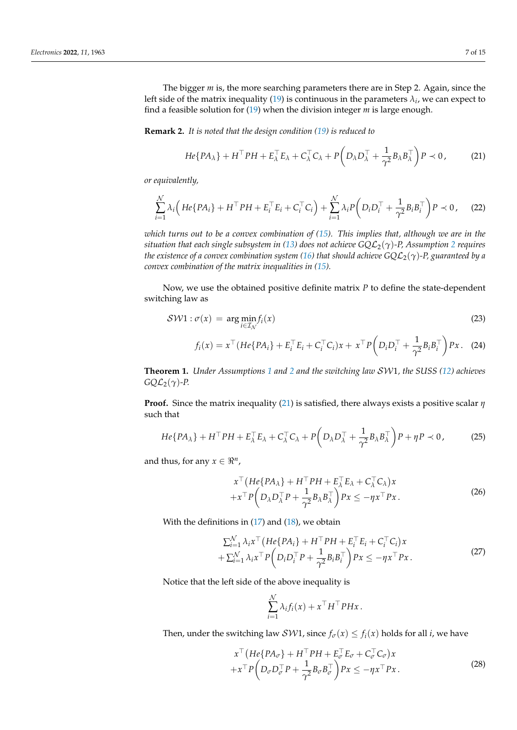The bigger *m* is, the more searching parameters there are in Step 2. Again, since the left side of the matrix inequality [\(19\)](#page-5-1) is continuous in the parameters  $\lambda_i$ , we can expect to find a feasible solution for [\(19\)](#page-5-1) when the division integer *m* is large enough.

**Remark 2.** *It is noted that the design condition [\(19\)](#page-5-1) is reduced to*

<span id="page-6-0"></span>
$$
He\{PA_{\lambda}\} + H^{\top}PH + E_{\lambda}^{\top}E_{\lambda} + C_{\lambda}^{\top}C_{\lambda} + P\left(D_{\lambda}D_{\lambda}^{\top} + \frac{1}{\gamma^{2}}B_{\lambda}B_{\lambda}^{\top}\right)P \prec 0, \tag{21}
$$

*or equivalently,*

$$
\sum_{i=1}^N \lambda_i \Big( He\{PA_i\} + H^\top PH + E_i^\top E_i + C_i^\top C_i \Big) + \sum_{i=1}^N \lambda_i P\Big(D_i D_i^\top + \frac{1}{\gamma^2} B_i B_i^\top\Big) P \prec 0, \quad (22)
$$

*which turns out to be a convex combination of [\(15\)](#page-4-4). This implies that, although we are in the situation that each single subsystem in [\(13\)](#page-3-2) does not achieve*  $GQL_2(\gamma)$  $GQL_2(\gamma)$  $GQL_2(\gamma)$ *-P, Assumption 2 requires the existence of a convex combination system [\(16\)](#page-4-3) that should achieve GQ*L2(*γ*)*-P, guaranteed by a convex combination of the matrix inequalities in [\(15\)](#page-4-4).*

Now, we use the obtained positive definite matrix *P* to define the state-dependent switching law as

<span id="page-6-2"></span>
$$
SW1: \sigma(x) = \arg\min_{i \in \mathcal{I}_{\mathcal{N}}} f_i(x) \tag{23}
$$

$$
f_i(x) = x^{\top} (He\{PA_i\} + E_i^{\top} E_i + C_i^{\top} C_i)x + x^{\top} P\left(D_i D_i^{\top} + \frac{1}{\gamma^2} B_i B_i^{\top}\right)Px. \tag{24}
$$

<span id="page-6-3"></span>**Theorem 1.** *Under Assumptions [1](#page-4-2) and [2](#page-5-0) and the switching law* SW1*, the SUSS [\(12\)](#page-3-1) achieves*  $GQL_2(\gamma)$ -P.

**Proof.** Since the matrix inequality [\(21\)](#page-6-0) is satisfied, there always exists a positive scalar *η* such that

$$
He\{PA_{\lambda}\} + H^{\top}PH + E_{\lambda}^{\top}E_{\lambda} + C_{\lambda}^{\top}C_{\lambda} + P\left(D_{\lambda}D_{\lambda}^{\top} + \frac{1}{\gamma^{2}}B_{\lambda}B_{\lambda}^{\top}\right)P + \eta P \prec 0, \tag{25}
$$

and thus, for any  $x \in \Re^n$ ,

$$
x^{\top} (He\{PA_{\lambda}\} + H^{\top}PH + E_{\lambda}^{\top}E_{\lambda} + C_{\lambda}^{\top}C_{\lambda})x + x^{\top}P\left(D_{\lambda}D_{\lambda}^{\top}P + \frac{1}{\gamma^{2}}B_{\lambda}B_{\lambda}^{\top}\right)Px \le -\eta x^{\top}Px.
$$
 (26)

With the definitions in  $(17)$  and  $(18)$ , we obtain

$$
\sum_{i=1}^{N} \lambda_i x^{\top} (He\{PA_i\} + H^{\top}PH + E_i^{\top}E_i + C_i^{\top}C_i)x + \sum_{i=1}^{N} \lambda_i x^{\top} P (D_i D_i^{\top}P + \frac{1}{\gamma^2} B_i B_i^{\top}) Px \le -\eta x^{\top}Px.
$$
\n(27)

Notice that the left side of the above inequality is

$$
\sum_{i=1}^N \lambda_i f_i(x) + x^\top H^\top P H x.
$$

Then, under the switching law *SW*1, since  $f_{\sigma}(x) \leq f_i(x)$  holds for all *i*, we have

<span id="page-6-1"></span>
$$
x^{\top} (He\{PA_{\sigma}\} + H^{\top}PH + E_{\sigma}^{\top}E_{\sigma} + C_{\sigma}^{\top}C_{\sigma})x + x^{\top} P\left(D_{\sigma}D_{\sigma}^{\top}P + \frac{1}{\gamma^2}B_{\sigma}B_{\sigma}^{\top}\right)Px \le -\eta x^{\top}Px.
$$
 (28)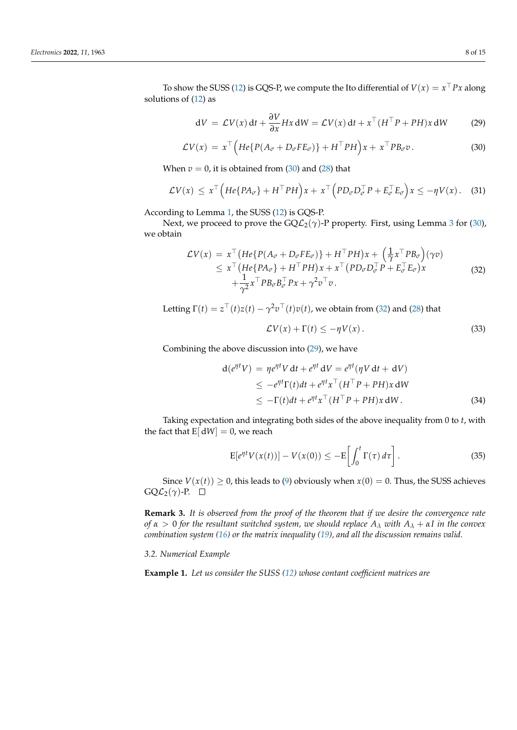To show the SUSS [\(12\)](#page-3-1) is GQS-P, we compute the Ito differential of  $V(x) = x^{\top} P x$  along solutions of [\(12\)](#page-3-1) as

<span id="page-7-0"></span>
$$
dV = \mathcal{L}V(x) dt + \frac{\partial V}{\partial x} Hx dW = \mathcal{L}V(x) dt + x^{\top} (H^{\top}P + PH)x dW
$$
 (29)

$$
\mathcal{L}V(x) = x^{\top} \Big( He\{P(A_{\sigma} + D_{\sigma}FE_{\sigma})\} + H^{\top}PH\Big)x + x^{\top}PB_{\sigma}v. \tag{30}
$$

When  $v = 0$ , it is obtained from  $(30)$  and  $(28)$  that

$$
\mathcal{L}V(x) \leq x^{\top} \Big( He\{PA_{\sigma}\} + H^{\top}PH\Big)x + x^{\top} \Big( PD_{\sigma}D_{\sigma}^{\top}P + E_{\sigma}^{\top}E_{\sigma}\Big)x \leq -\eta V(x). \quad (31)
$$

According to Lemma [1,](#page-2-0) the SUSS [\(12\)](#page-3-1) is GQS-P.

Next, we proceed to prove the  $GQL_2(\gamma)$ -P property. First, using Lemma [3](#page-2-5) for [\(30\)](#page-7-0), we obtain

<span id="page-7-1"></span>
$$
\mathcal{L}V(x) = x^{\top} \left( He\{P(A_{\sigma} + D_{\sigma}FE_{\sigma})\} + H^{\top}PH\right)x + \left(\frac{1}{\gamma}x^{\top}PB_{\sigma}\right)(\gamma v) \leq x^{\top} \left( He\{PA_{\sigma}\} + H^{\top}PH\right)x + x^{\top} \left( PD_{\sigma}D_{\sigma}^{\top}P + E_{\sigma}^{\top}E_{\sigma}\right)x + \frac{1}{\gamma^{2}}x^{\top}PB_{\sigma}B_{\sigma}^{\top}Px + \gamma^{2}v^{\top}v.
$$
\n(32)

Letting  $\Gamma(t) = z^{\top}(t)z(t) - \gamma^2 v^{\top}(t)v(t)$ , we obtain from [\(32\)](#page-7-1) and [\(28\)](#page-6-1) that

$$
\mathcal{L}V(x) + \Gamma(t) \le -\eta V(x). \tag{33}
$$

Combining the above discussion into [\(29\)](#page-7-0), we have

$$
d(e^{\eta t}V) = \eta e^{\eta t}V dt + e^{\eta t}dV = e^{\eta t}(\eta V dt + dV)
$$
  
\n
$$
\leq -e^{\eta t}\Gamma(t)dt + e^{\eta t}x^{\top}(H^{\top}P + PH)x dW
$$
  
\n
$$
\leq -\Gamma(t)dt + e^{\eta t}x^{\top}(H^{\top}P + PH)x dW.
$$
 (34)

Taking expectation and integrating both sides of the above inequality from 0 to *t*, with the fact that  $E[ dW ] = 0$ , we reach

$$
\mathcal{E}[e^{\eta t}V(x(t))] - V(x(0)) \le -\mathcal{E}\left[\int_0^t \Gamma(\tau) d\tau\right].
$$
 (35)

Since  $V(x(t)) \ge 0$ , this leads to [\(9\)](#page-3-4) obviously when  $x(0) = 0$ . Thus, the SUSS achieves  $GQL_2(\gamma)$ -P.  $\square$ 

**Remark 3.** *It is observed from the proof of the theorem that if we desire the convergence rate of α* > 0 *for the resultant switched system, we should replace A<sup>λ</sup> with A<sup>λ</sup>* + *αI in the convex combination system [\(16\)](#page-4-3) or the matrix inequality [\(19\)](#page-5-1), and all the discussion remains valid.*

*3.2. Numerical Example*

**Example 1.** *Let us consider the SUSS [\(12\)](#page-3-1) whose contant coefficient matrices are*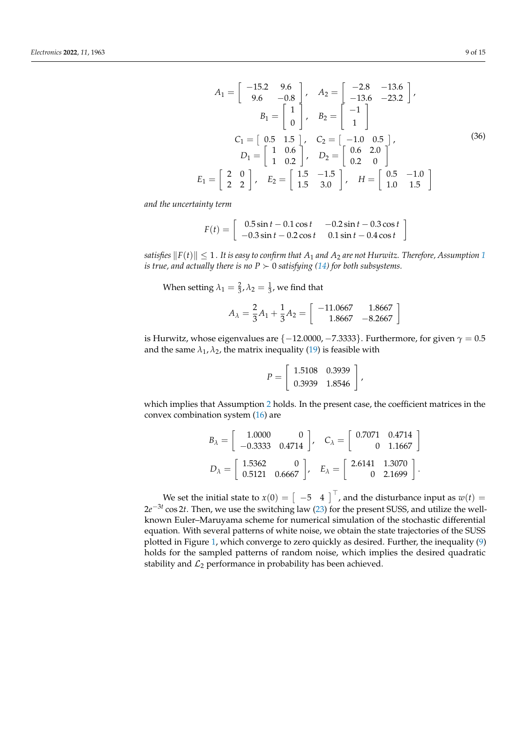<span id="page-8-0"></span>
$$
A_1 = \begin{bmatrix} -15.2 & 9.6 \\ 9.6 & -0.8 \end{bmatrix}, \quad A_2 = \begin{bmatrix} -2.8 & -13.6 \\ -13.6 & -23.2 \end{bmatrix},
$$

$$
B_1 = \begin{bmatrix} 1 \\ 0 \end{bmatrix}, \quad B_2 = \begin{bmatrix} -1 \\ 1 \end{bmatrix}
$$

$$
C_1 = \begin{bmatrix} 0.5 & 1.5 \\ 1 & 0.2 \end{bmatrix}, \quad C_2 = \begin{bmatrix} -1.0 & 0.5 \\ 0.6 & 2.0 \end{bmatrix},
$$

$$
D_1 = \begin{bmatrix} 2 & 0 \\ 2 & 2 \end{bmatrix}, \quad E_2 = \begin{bmatrix} 1.5 & -1.5 \\ 1.5 & 3.0 \end{bmatrix}, \quad H = \begin{bmatrix} 0.5 & -1.0 \\ 1.0 & 1.5 \end{bmatrix}
$$
(36)

*and the uncertainty term*

$$
F(t) = \begin{bmatrix} 0.5\sin t - 0.1\cos t & -0.2\sin t - 0.3\cos t \\ -0.3\sin t - 0.2\cos t & 0.1\sin t - 0.4\cos t \end{bmatrix}
$$

*satisfies*  $||F(t)|| \leq 1$  $||F(t)|| \leq 1$ . It is easy to confirm that  $A_1$  and  $A_2$  are not Hurwitz. Therefore, Assumption 1 *is true, and actually there is no*  $P \succ 0$  *satisfying [\(14\)](#page-4-6) for both subsystems.* 

When setting  $\lambda_1 = \frac{2}{3}$ ,  $\lambda_2 = \frac{1}{3}$ , we find that

$$
A_{\lambda} = \frac{2}{3}A_1 + \frac{1}{3}A_2 = \begin{bmatrix} -11.0667 & 1.8667\\ 1.8667 & -8.2667 \end{bmatrix}
$$

is Hurwitz, whose eigenvalues are  $\{-12.0000, -7.3333\}$ . Furthermore, for given  $\gamma = 0.5$ and the same  $\lambda_1$ ,  $\lambda_2$ , the matrix inequality [\(19\)](#page-5-1) is feasible with

$$
P = \left[ \begin{array}{cc} 1.5108 & 0.3939 \\ 0.3939 & 1.8546 \end{array} \right]
$$

,

which implies that Assumption [2](#page-5-0) holds. In the present case, the coefficient matrices in the convex combination system [\(16\)](#page-4-3) are

$$
B_{\lambda} = \begin{bmatrix} 1.0000 & 0 \\ -0.3333 & 0.4714 \end{bmatrix}, \quad C_{\lambda} = \begin{bmatrix} 0.7071 & 0.4714 \\ 0 & 1.1667 \end{bmatrix}
$$

$$
D_{\lambda} = \begin{bmatrix} 1.5362 & 0 \\ 0.5121 & 0.6667 \end{bmatrix}, \quad E_{\lambda} = \begin{bmatrix} 2.6141 & 1.3070 \\ 0 & 2.1699 \end{bmatrix}.
$$

We set the initial state to  $x(0) = \begin{bmatrix} -5 & 4 \end{bmatrix}^T$ , and the disturbance input as  $w(t) =$ 2*e* −3*t* cos 2*t*. Then, we use the switching law [\(23\)](#page-6-2) for the present SUSS, and utilize the wellknown Euler–Maruyama scheme for numerical simulation of the stochastic differential equation. With several patterns of white noise, we obtain the state trajectories of the SUSS plotted in Figure [1,](#page-9-1) which converge to zero quickly as desired. Further, the inequality [\(9\)](#page-3-4) holds for the sampled patterns of random noise, which implies the desired quadratic stability and  $\mathcal{L}_2$  performance in probability has been achieved.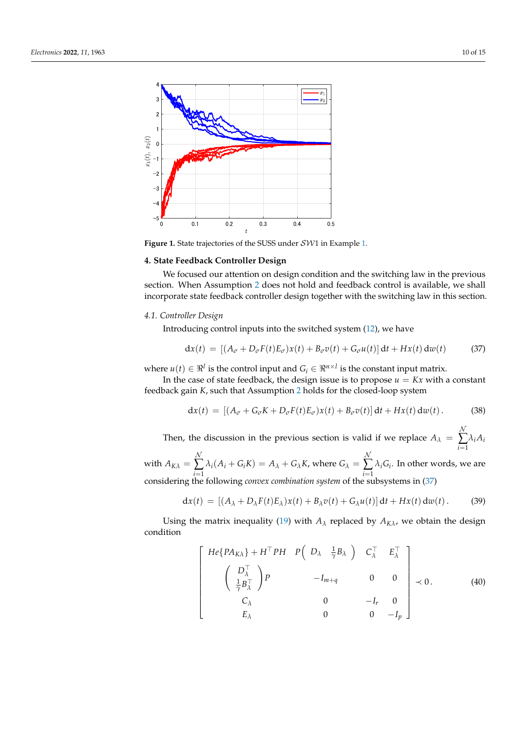<span id="page-9-1"></span>

**Figure 1.** State trajectories of the SUSS under SW1 in Example [1.](#page-8-0)

# <span id="page-9-0"></span>**4. State Feedback Controller Design**

We focused our attention on design condition and the switching law in the previous section. When Assumption [2](#page-5-0) does not hold and feedback control is available, we shall incorporate state feedback controller design together with the switching law in this section.

### *4.1. Controller Design*

Introducing control inputs into the switched system [\(12\)](#page-3-1), we have

<span id="page-9-2"></span>
$$
dx(t) = [(A_{\sigma} + D_{\sigma}F(t)E_{\sigma})x(t) + B_{\sigma}v(t) + G_{\sigma}u(t)]dt + Hx(t) dw(t)
$$
 (37)

where  $u(t) \in \Re^l$  is the control input and  $G_i \in \Re^{n \times l}$  is the constant input matrix.

In the case of state feedback, the design issue is to propose  $u = Kx$  with a constant feedback gain *K*, such that Assumption [2](#page-5-0) holds for the closed-loop system

<span id="page-9-4"></span>
$$
dx(t) = [(A_{\sigma} + G_{\sigma}K + D_{\sigma}F(t)E_{\sigma})x(t) + B_{\sigma}v(t)]dt + Hx(t) dw(t).
$$
 (38)

Then, the discussion in the previous section is valid if we replace  $A_{\lambda}$  =  $\lambda$ ∑ *i*=1 *λiA<sup>i</sup>*  $\lambda$ 

with 
$$
A_{K\lambda} = \sum_{i=1}^{N} \lambda_i (A_i + G_i K) = A_{\lambda} + G_{\lambda} K
$$
, where  $G_{\lambda} = \sum_{i=1}^{N} \lambda_i G_i$ . In other words, we are considering the following *convex combination system* of the subsystems in (37)

$$
dx(t) = [(A_{\lambda} + D_{\lambda}F(t)E_{\lambda})x(t) + B_{\lambda}v(t) + G_{\lambda}u(t)] dt + Hx(t) dw(t).
$$
 (39)

Using the matrix inequality [\(19\)](#page-5-1) with  $A_\lambda$  replaced by  $A_{K\lambda}$ , we obtain the design condition

<span id="page-9-3"></span>
$$
\begin{bmatrix}\nHe\{PA_{K\lambda}\} + H^{\top}PH & P\left(D_{\lambda} & \frac{1}{\gamma}B_{\lambda}\right) & C_{\lambda}^{\top} & E_{\lambda}^{\top} \\
\left(\begin{array}{c} D_{\lambda}^{\top} \\
\frac{1}{\gamma}B_{\lambda}^{\top} \end{array}\right)P & -I_{m+q} & 0 & 0 \\
C_{\lambda} & 0 & -I_{r} & 0 \\
E_{\lambda} & 0 & 0 & -I_{p}\n\end{bmatrix} \prec 0.
$$
\n(40)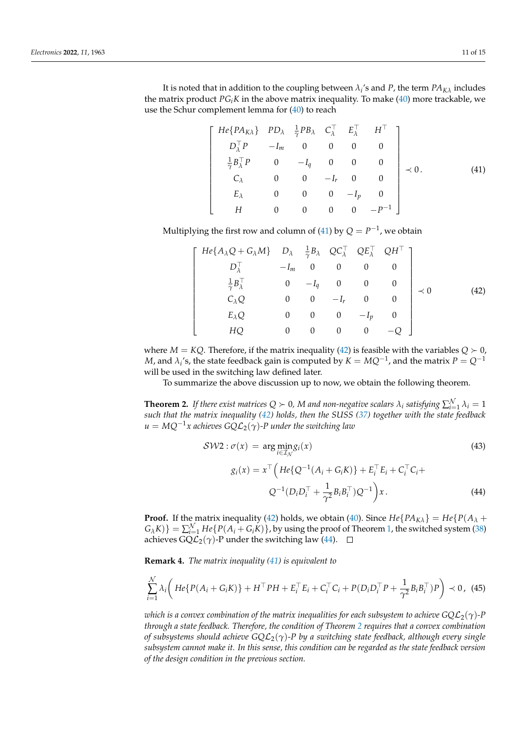It is noted that in addition to the coupling between  $\lambda_i$ 's and P, the term  $PA_{K\lambda}$  includes the matrix product  $PG_iK$  in the above matrix inequality. To make [\(40\)](#page-9-3) more trackable, we use the Schur complement lemma for [\(40\)](#page-9-3) to reach

$$
He\{PA_{KA}\} \quad PD_{\lambda} \quad \frac{1}{\gamma}PB_{\lambda} \quad C_{\lambda}^{\top} \quad E_{\lambda}^{\top} \quad H^{\top} \\ D_{\lambda}^{\top}P \quad -I_{m} \quad 0 \quad 0 \quad 0 \quad 0 \\ \frac{1}{\gamma}B_{\lambda}^{\top}P \quad 0 \quad -I_{q} \quad 0 \quad 0 \quad 0 \\ C_{\lambda} \quad 0 \quad 0 \quad -I_{r} \quad 0 \quad 0 \\ E_{\lambda} \quad 0 \quad 0 \quad 0 \quad -I_{p} \quad 0 \\ H \quad 0 \quad 0 \quad 0 \quad 0 \quad -P^{-1} \end{bmatrix} \prec 0.
$$
 (41)

Multiplying the first row and column of [\(41\)](#page-10-0) by  $Q = P^{-1}$ , we obtain

<span id="page-10-0"></span> $\lceil$  $\overline{\phantom{a}}$  $\overline{1}$  $\overline{\phantom{a}}$  $\overline{\phantom{a}}$  $\overline{\phantom{a}}$  $\overline{\phantom{a}}$  $\overline{1}$  $\overline{1}$  $\overline{1}$  $\overline{\phantom{a}}$  $\overline{\phantom{a}}$  $\overline{1}$ 

<span id="page-10-1"></span>
$$
\begin{bmatrix}\nHe\{A_{\lambda}Q + G_{\lambda}M\} & D_{\lambda} & \frac{1}{\gamma}B_{\lambda} & QC_{\lambda}^{\top} & QE_{\lambda}^{\top} & QH^{\top} \\
D_{\lambda}^{\top} & -I_{m} & 0 & 0 & 0 & 0 \\
\frac{1}{\gamma}B_{\lambda}^{\top} & 0 & -I_{q} & 0 & 0 & 0 \\
C_{\lambda}Q & 0 & 0 & -I_{r} & 0 & 0 \\
E_{\lambda}Q & 0 & 0 & 0 & -I_{p} & 0 \\
HQ & 0 & 0 & 0 & 0 & -Q\n\end{bmatrix} \prec 0
$$
\n(42)

where  $M = KQ$ . Therefore, if the matrix inequality [\(42\)](#page-10-1) is feasible with the variables  $Q \succ 0$ ,  $M$ , and  $\lambda_i$ 's, the state feedback gain is computed by  $K = MQ^{-1}$ , and the matrix  $P = Q^{-1}$ will be used in the switching law defined later.

To summarize the above discussion up to now, we obtain the following theorem.

<span id="page-10-3"></span>**Theorem 2.** If there exist matrices  $Q \succ 0$ , M and non-negative scalars  $\lambda_i$  satisfying  $\sum_{i=1}^{N} \lambda_i = 1$ *such that the matrix inequality [\(42\)](#page-10-1) holds, then the SUSS [\(37\)](#page-9-2) together with the state feedback*  $u = MQ^{-1}x$  achieves  $GQL_2(\gamma)$ -P under the switching law

<span id="page-10-2"></span>
$$
SW2: \sigma(x) = \arg \min_{i \in \mathcal{I}_{\mathcal{N}}} g_i(x)
$$
(43)  

$$
g_i(x) = x^{\top} \Big( He\{Q^{-1}(A_i + G_i K)\} + E_i^{\top} E_i + C_i^{\top} C_i + Q^{-1}(D_i D_i^{\top} + \frac{1}{\gamma^2} B_i B_i^{\top}) Q^{-1} \Big) x.
$$
(44)

**Proof.** If the matrix inequality [\(42\)](#page-10-1) holds, we obtain [\(40\)](#page-9-3). Since  $He\{PA_{K\lambda}\}=He\{P(A_{\lambda} +$  $G_{\lambda}K$ ) =  $\sum_{i=1}^{N} He\{P(A_i + G_i K)\}\$ , by using the proof of Theorem [1,](#page-6-3) the switched system [\(38\)](#page-9-4) achieves GQ $\mathcal{L}_2(\gamma)$ -P under the switching law [\(44\)](#page-10-2).  $□$ 

**Remark 4.** *The matrix inequality [\(41\)](#page-10-0) is equivalent to*

$$
\sum_{i=1}^{N} \lambda_i \bigg( He \{ P(A_i + G_i K) \} + H^{\top} P H + E_i^{\top} E_i + C_i^{\top} C_i + P(D_i D_i^{\top} P + \frac{1}{\gamma^2} B_i B_i^{\top}) P \bigg) \prec 0, \tag{45}
$$

*which is a convex combination of the matrix inequalities for each subsystem to achieve*  $GQL_2(\gamma)$ *-P through a state feedback. Therefore, the condition of Theorem [2](#page-10-3) requires that a convex combination of subsystems should achieve GQ*L2(*γ*)*-P by a switching state feedback, although every single subsystem cannot make it. In this sense, this condition can be regarded as the state feedback version of the design condition in the previous section.*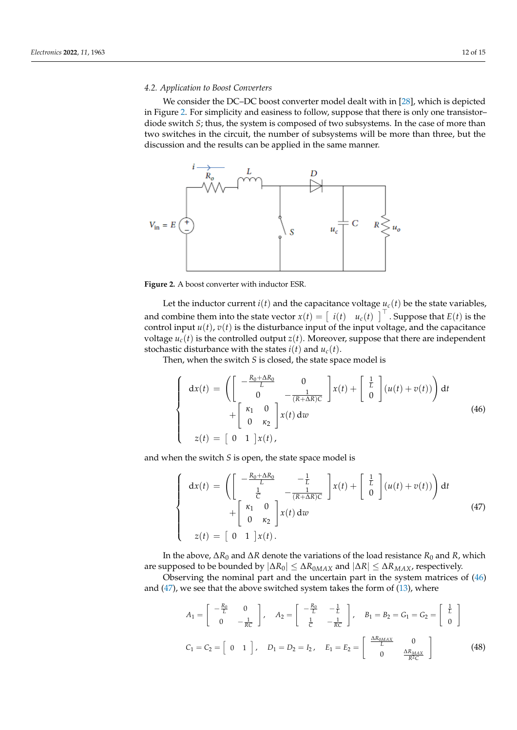## *4.2. Application to Boost Converters*

We consider the DC–DC boost converter model dealt with in [\[28\]](#page-14-19), which is depicted in Figure [2.](#page-11-0) For simplicity and easiness to follow, suppose that there is only one transistor– diode switch *S*; thus, the system is composed of two subsystems. In the case of more than two switches in the circuit, the number of subsystems will be more than three, but the discussion and the results can be applied in the same manner.

<span id="page-11-0"></span>

**Figure 2.** A boost converter with inductor ESR.

Let the inductor current  $i(t)$  and the capacitance voltage  $u_c(t)$  be the state variables, and combine them into the state vector  $x(t) = \begin{bmatrix} i(t) & u_c(t) \end{bmatrix}^\top$ . Suppose that  $E(t)$  is the control input  $u(t)$ ,  $v(t)$  is the disturbance input of the input voltage, and the capacitance voltage  $u_c(t)$  is the controlled output  $z(t)$ . Moreover, suppose that there are independent stochastic disturbance with the states  $i(t)$  and  $u_c(t)$ .

Then, when the switch *S* is closed, the state space model is

<span id="page-11-1"></span>
$$
\begin{cases}\n\mathbf{d}x(t) = \left( \begin{bmatrix} -\frac{R_0 + \Delta R_0}{L} & 0\\ 0 & -\frac{1}{(R + \Delta R)C} \end{bmatrix} x(t) + \begin{bmatrix} \frac{1}{L} \\ 0 \end{bmatrix} (u(t) + v(t)) \right) \mathbf{d}t \\
+ \begin{bmatrix} \kappa_1 & 0\\ 0 & \kappa_2 \end{bmatrix} x(t) \mathbf{d}w\n\end{cases}
$$
\n
$$
z(t) = \begin{bmatrix} 0 & 1 \end{bmatrix} x(t),
$$
\n(46)

and when the switch *S* is open, the state space model is

<span id="page-11-2"></span>
$$
\begin{cases}\n\mathbf{d}x(t) = \left( \begin{bmatrix}\n-\frac{R_0 + \Delta R_0}{L} & -\frac{1}{L} \\
\frac{1}{C} & -\frac{1}{(R + \Delta R)C}\n\end{bmatrix} x(t) + \begin{bmatrix}\n\frac{1}{L} \\
0\n\end{bmatrix} (u(t) + v(t)) \right) \mathbf{d}t \\
+ \begin{bmatrix}\n\kappa_1 & 0 \\
0 & \kappa_2\n\end{bmatrix} x(t) \mathbf{d}w\n\end{cases}
$$
\n(47)\n
$$
z(t) = \begin{bmatrix}\n0 & 1\n\end{bmatrix} x(t).
$$

In the above, ∆*R*<sup>0</sup> and ∆*R* denote the variations of the load resistance *R*<sup>0</sup> and *R*, which are supposed to be bounded by  $|\Delta R_0| \leq \Delta R_{0MAX}$  and  $|\Delta R| \leq \Delta R_{MAX}$ , respectively.

Observing the nominal part and the uncertain part in the system matrices of [\(46\)](#page-11-1) and  $(47)$ , we see that the above switched system takes the form of  $(13)$ , where

<span id="page-11-3"></span>
$$
A_1 = \begin{bmatrix} -\frac{R_0}{L} & 0 \\ 0 & -\frac{1}{RC} \end{bmatrix}, \quad A_2 = \begin{bmatrix} -\frac{R_0}{L} & -\frac{1}{L} \\ \frac{1}{C} & -\frac{1}{RC} \end{bmatrix}, \quad B_1 = B_2 = G_1 = G_2 = \begin{bmatrix} \frac{1}{L} \\ 0 \end{bmatrix}
$$
  

$$
C_1 = C_2 = \begin{bmatrix} 0 & 1 \end{bmatrix}, \quad D_1 = D_2 = I_2, \quad E_1 = E_2 = \begin{bmatrix} \frac{\Delta R_{0MAX}}{L} & 0 \\ 0 & \frac{\Delta R_{MAX}}{R^2 C} \end{bmatrix}
$$
(48)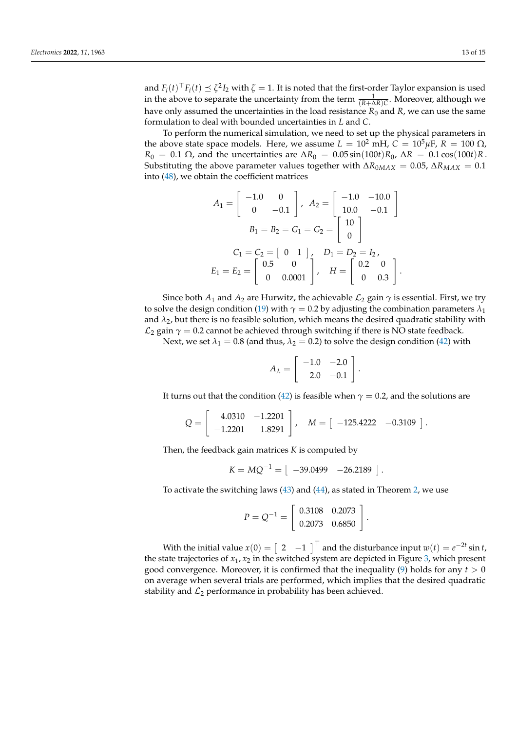and  $F_i(t)^\top F_i(t) \preceq \zeta^2 I_2$  with  $\zeta = 1$ . It is noted that the first-order Taylor expansion is used in the above to separate the uncertainty from the term  $\frac{1}{(R+\Delta R)C}$ . Moreover, although we have only assumed the uncertainties in the load resistance  $R_0$  and  $R$ , we can use the same formulation to deal with bounded uncertainties in *L* and *C*.

To perform the numerical simulation, we need to set up the physical parameters in the above state space models. Here, we assume  $L = 10^2$  mH,  $C = 10^5$ μF,  $R = 100$  Ω, *R*<sub>0</sub> = 0.1 Ω, and the uncertainties are  $\Delta R_0 = 0.05 \sin(100t) R_0$ ,  $\Delta R = 0.1 \cos(100t) R$ . Substituting the above parameter values together with  $\Delta R_{0MAX} = 0.05$ ,  $\Delta R_{MAX} = 0.1$ into [\(48\)](#page-11-3), we obtain the coefficient matrices

$$
A_1 = \begin{bmatrix} -1.0 & 0 \\ 0 & -0.1 \end{bmatrix}, A_2 = \begin{bmatrix} -1.0 & -10.0 \\ 10.0 & -0.1 \end{bmatrix}
$$

$$
B_1 = B_2 = G_1 = G_2 = \begin{bmatrix} 10 \\ 0 \end{bmatrix}
$$

$$
C_1 = C_2 = \begin{bmatrix} 0 & 1 \end{bmatrix}, D_1 = D_2 = I_2,
$$

$$
E_1 = E_2 = \begin{bmatrix} 0.5 & 0 \\ 0 & 0.0001 \end{bmatrix}, H = \begin{bmatrix} 0.2 & 0 \\ 0 & 0.3 \end{bmatrix}.
$$

Since both  $A_1$  and  $A_2$  are Hurwitz, the achievable  $\mathcal{L}_2$  gain  $\gamma$  is essential. First, we try to solve the design condition [\(19\)](#page-5-1) with  $\gamma = 0.2$  by adjusting the combination parameters  $\lambda_1$ and  $\lambda_2$ , but there is no feasible solution, which means the desired quadratic stability with  $\mathcal{L}_2$  gain  $\gamma = 0.2$  cannot be achieved through switching if there is NO state feedback.

Next, we set  $\lambda_1 = 0.8$  (and thus,  $\lambda_2 = 0.2$ ) to solve the design condition [\(42\)](#page-10-1) with

$$
A_{\lambda} = \left[ \begin{array}{rr} -1.0 & -2.0 \\ 2.0 & -0.1 \end{array} \right]
$$

.

It turns out that the condition [\(42\)](#page-10-1) is feasible when  $\gamma = 0.2$ , and the solutions are

$$
Q = \begin{bmatrix} 4.0310 & -1.2201 \\ -1.2201 & 1.8291 \end{bmatrix}, \quad M = \begin{bmatrix} -125.4222 & -0.3109 \end{bmatrix}.
$$

Then, the feedback gain matrices *K* is computed by

$$
K = MQ^{-1} = \begin{bmatrix} -39.0499 & -26.2189 \end{bmatrix}.
$$

To activate the switching laws [\(43\)](#page-10-2) and [\(44\)](#page-10-2), as stated in Theorem [2,](#page-10-3) we use

$$
P = Q^{-1} = \left[ \begin{array}{cc} 0.3108 & 0.2073 \\ 0.2073 & 0.6850 \end{array} \right].
$$

With the initial value  $x(0) = \begin{bmatrix} 2 & -1 \end{bmatrix}^\top$  and the disturbance input  $w(t) = e^{-2t} \sin t$ , the state trajectories of  $x_1$ ,  $x_2$  in the switched system are depicted in Figure [3,](#page-13-2) which present good convergence. Moreover, it is confirmed that the inequality  $(9)$  holds for any  $t > 0$ on average when several trials are performed, which implies that the desired quadratic stability and  $\mathcal{L}_2$  performance in probability has been achieved.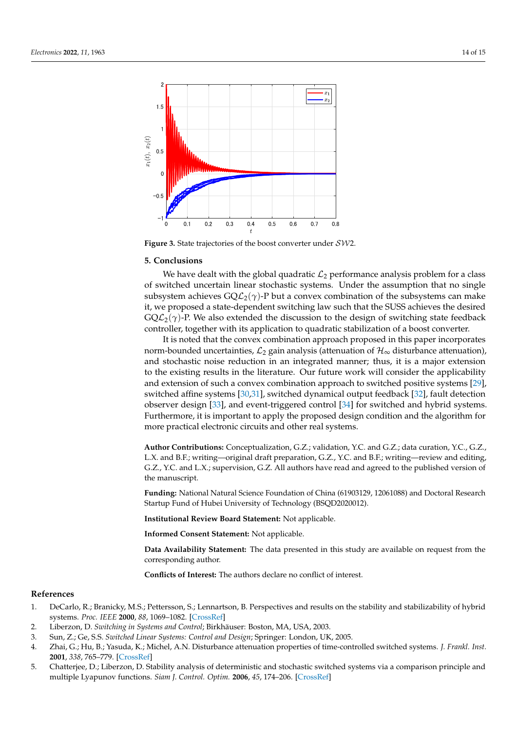<span id="page-13-2"></span>

**Figure 3.** State trajectories of the boost converter under SW2.

## <span id="page-13-1"></span>**5. Conclusions**

We have dealt with the global quadratic  $\mathcal{L}_2$  performance analysis problem for a class of switched uncertain linear stochastic systems. Under the assumption that no single subsystem achieves  $\mathsf{GQL}_2(\gamma)$ -P but a convex combination of the subsystems can make it, we proposed a state-dependent switching law such that the SUSS achieves the desired  $GQ\mathcal{L}_2(\gamma)$ -P. We also extended the discussion to the design of switching state feedback controller, together with its application to quadratic stabilization of a boost converter.

It is noted that the convex combination approach proposed in this paper incorporates norm-bounded uncertainties,  $\mathcal{L}_2$  gain analysis (attenuation of  $\mathcal{H}_{\infty}$  disturbance attenuation), and stochastic noise reduction in an integrated manner; thus, it is a major extension to the existing results in the literature. Our future work will consider the applicability and extension of such a convex combination approach to switched positive systems [\[29\]](#page-14-20), switched affine systems [\[30,](#page-14-21)[31\]](#page-14-22), switched dynamical output feedback [\[32\]](#page-14-23), fault detection observer design [\[33\]](#page-14-24), and event-triggered control [\[34\]](#page-14-25) for switched and hybrid systems. Furthermore, it is important to apply the proposed design condition and the algorithm for more practical electronic circuits and other real systems.

**Author Contributions:** Conceptualization, G.Z.; validation, Y.C. and G.Z.; data curation, Y.C., G.Z., L.X. and B.F.; writing—original draft preparation, G.Z., Y.C. and B.F.; writing—review and editing, G.Z., Y.C. and L.X.; supervision, G.Z. All authors have read and agreed to the published version of the manuscript.

**Funding:** National Natural Science Foundation of China (61903129, 12061088) and Doctoral Research Startup Fund of Hubei University of Technology (BSQD2020012).

**Institutional Review Board Statement:** Not applicable.

**Informed Consent Statement:** Not applicable.

**Data Availability Statement:** The data presented in this study are available on request from the corresponding author.

**Conflicts of Interest:** The authors declare no conflict of interest.

#### **References**

- <span id="page-13-0"></span>1. DeCarlo, R.; Branicky, M.S.; Pettersson, S.; Lennartson, B. Perspectives and results on the stability and stabilizability of hybrid systems. *Proc. IEEE* **2000**, *88*, 1069–1082. [\[CrossRef\]](http://doi.org/10.1109/5.871309)
- 2. Liberzon, D. *Switching in Systems and Control*; Birkhäuser: Boston, MA, USA, 2003.
- 3. Sun, Z.; Ge, S.S. *Switched Linear Systems: Control and Design*; Springer: London, UK, 2005.
- 4. Zhai, G.; Hu, B.; Yasuda, K.; Michel, A.N. Disturbance attenuation properties of time-controlled switched systems. *J. Frankl. Inst.* **2001**, *338*, 765–779. [\[CrossRef\]](http://dx.doi.org/10.1016/S0016-0032(01)00030-8)
- 5. Chatterjee, D.; Liberzon, D. Stability analysis of deterministic and stochastic switched systems via a comparison principle and multiple Lyapunov functions. *Siam J. Control. Optim.* **2006**, *45*, 174–206. [\[CrossRef\]](http://dx.doi.org/10.1137/040619429)